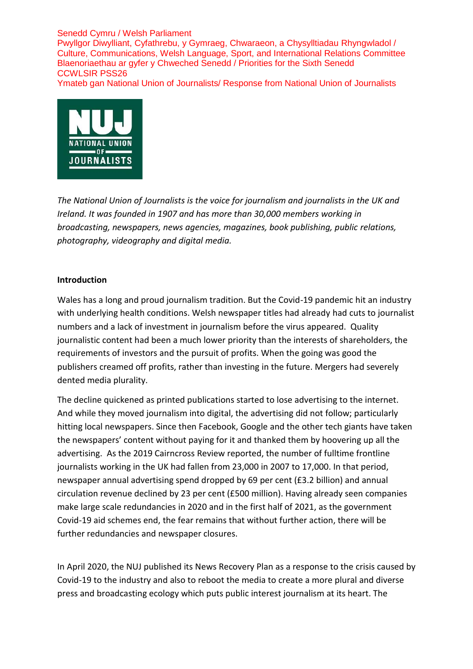Senedd Cymru / Welsh Parliament Pwyllgor Diwylliant, Cyfathrebu, y Gymraeg, Chwaraeon, a Chysylltiadau Rhyngwladol / Culture, Communications, Welsh Language, Sport, and International Relations Committee Blaenoriaethau ar gyfer y Chweched Senedd / Priorities for the Sixth Senedd CCWLSIR PSS26

Ymateb gan National Union of Journalists/ Response from National Union of Journalists



*The National Union of Journalists is the voice for journalism and journalists in the UK and Ireland. It was founded in 1907 and has more than 30,000 members working in broadcasting, newspapers, news agencies, magazines, book publishing, public relations, photography, videography and digital media.*

### **Introduction**

Wales has a long and proud journalism tradition. But the Covid-19 pandemic hit an industry with underlying health conditions. Welsh newspaper titles had already had cuts to journalist numbers and a lack of investment in journalism before the virus appeared. Quality journalistic content had been a much lower priority than the interests of shareholders, the requirements of investors and the pursuit of profits. When the going was good the publishers creamed off profits, rather than investing in the future. Mergers had severely dented media plurality.

The decline quickened as printed publications started to lose advertising to the internet. And while they moved journalism into digital, the advertising did not follow; particularly hitting local newspapers. Since then Facebook, Google and the other tech giants have taken the newspapers' content without paying for it and thanked them by hoovering up all the advertising. As the 2019 Cairncross Review reported, the number of fulltime frontline journalists working in the UK had fallen from 23,000 in 2007 to 17,000. In that period, newspaper annual advertising spend dropped by 69 per cent (£3.2 billion) and annual circulation revenue declined by 23 per cent (£500 million). Having already seen companies make large scale redundancies in 2020 and in the first half of 2021, as the government Covid-19 aid schemes end, the fear remains that without further action, there will be further redundancies and newspaper closures.

In April 2020, the NUJ published its News Recovery Plan as a response to the crisis caused by Covid-19 to the industry and also to reboot the media to create a more plural and diverse press and broadcasting ecology which puts public interest journalism at its heart. The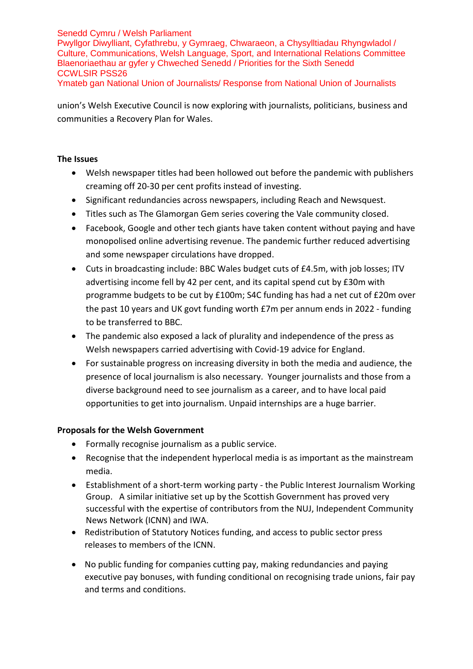# Senedd Cymru / Welsh Parliament

Pwyllgor Diwylliant, Cyfathrebu, y Gymraeg, Chwaraeon, a Chysylltiadau Rhyngwladol / Culture, Communications, Welsh Language, Sport, and International Relations Committee Blaenoriaethau ar gyfer y Chweched Senedd / Priorities for the Sixth Senedd CCWLSIR PSS26

Ymateb gan National Union of Journalists/ Response from National Union of Journalists

union's Welsh Executive Council is now exploring with journalists, politicians, business and communities a Recovery Plan for Wales.

# **The Issues**

- Welsh newspaper titles had been hollowed out before the pandemic with publishers creaming off 20-30 per cent profits instead of investing.
- Significant redundancies across newspapers, including Reach and Newsquest.
- Titles such as The Glamorgan Gem series covering the Vale community closed.
- Facebook, Google and other tech giants have taken content without paying and have monopolised online advertising revenue. The pandemic further reduced advertising and some newspaper circulations have dropped.
- Cuts in broadcasting include: BBC Wales budget cuts of £4.5m, with job losses; ITV advertising income fell by 42 per cent, and its capital spend cut by £30m with programme budgets to be cut by £100m; S4C funding has had a net cut of £20m over the past 10 years and UK govt funding worth £7m per annum ends in 2022 - funding to be transferred to BBC.
- The pandemic also exposed a lack of plurality and independence of the press as Welsh newspapers carried advertising with Covid-19 advice for England.
- For sustainable progress on increasing diversity in both the media and audience, the presence of local journalism is also necessary. Younger journalists and those from a diverse background need to see journalism as a career, and to have local paid opportunities to get into journalism. Unpaid internships are a huge barrier.

### **Proposals for the Welsh Government**

- Formally recognise journalism as a public service.
- Recognise that the independent hyperlocal media is as important as the mainstream media.
- Establishment of a short-term working party the Public Interest Journalism Working Group. A similar initiative set up by the Scottish Government has proved very successful with the expertise of contributors from the NUJ, Independent Community News Network (ICNN) and IWA.
- Redistribution of Statutory Notices funding, and access to public sector press releases to members of the ICNN.
- No public funding for companies cutting pay, making redundancies and paying executive pay bonuses, with funding conditional on recognising trade unions, fair pay and terms and conditions.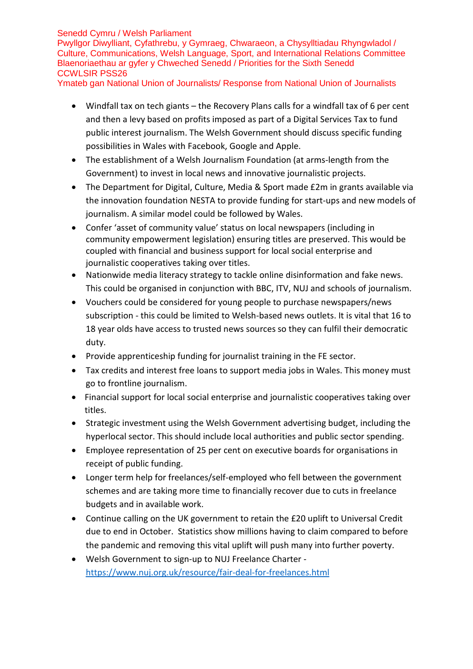# Senedd Cymru / Welsh Parliament

Pwyllgor Diwylliant, Cyfathrebu, y Gymraeg, Chwaraeon, a Chysylltiadau Rhyngwladol / Culture, Communications, Welsh Language, Sport, and International Relations Committee Blaenoriaethau ar gyfer y Chweched Senedd / Priorities for the Sixth Senedd CCWLSIR PSS26

Ymateb gan National Union of Journalists/ Response from National Union of Journalists

- Windfall tax on tech giants the Recovery Plans calls for a windfall tax of 6 per cent and then a levy based on profits imposed as part of a Digital Services Tax to fund public interest journalism. The Welsh Government should discuss specific funding possibilities in Wales with Facebook, Google and Apple.
- The establishment of a Welsh Journalism Foundation (at arms-length from the Government) to invest in local news and innovative journalistic projects.
- The Department for Digital, Culture, Media & Sport made £2m in grants available via the innovation foundation NESTA to provide funding for start-ups and new models of journalism. A similar model could be followed by Wales.
- Confer 'asset of community value' status on local newspapers (including in community empowerment legislation) ensuring titles are preserved. This would be coupled with financial and business support for local social enterprise and journalistic cooperatives taking over titles.
- Nationwide media literacy strategy to tackle online disinformation and fake news. This could be organised in conjunction with BBC, ITV, NUJ and schools of journalism.
- Vouchers could be considered for young people to purchase newspapers/news subscription - this could be limited to Welsh-based news outlets. It is vital that 16 to 18 year olds have access to trusted news sources so they can fulfil their democratic duty.
- Provide apprenticeship funding for journalist training in the FE sector.
- Tax credits and interest free loans to support media jobs in Wales. This money must go to frontline journalism.
- Financial support for local social enterprise and journalistic cooperatives taking over titles.
- Strategic investment using the Welsh Government advertising budget, including the hyperlocal sector. This should include local authorities and public sector spending.
- Employee representation of 25 per cent on executive boards for organisations in receipt of public funding.
- Longer term help for freelances/self-employed who fell between the government schemes and are taking more time to financially recover due to cuts in freelance budgets and in available work.
- Continue calling on the UK government to retain the £20 uplift to Universal Credit due to end in October. Statistics show millions having to claim compared to before the pandemic and removing this vital uplift will push many into further poverty.
- Welsh Government to sign-up to NUJ Freelance Charter <https://www.nuj.org.uk/resource/fair-deal-for-freelances.html>